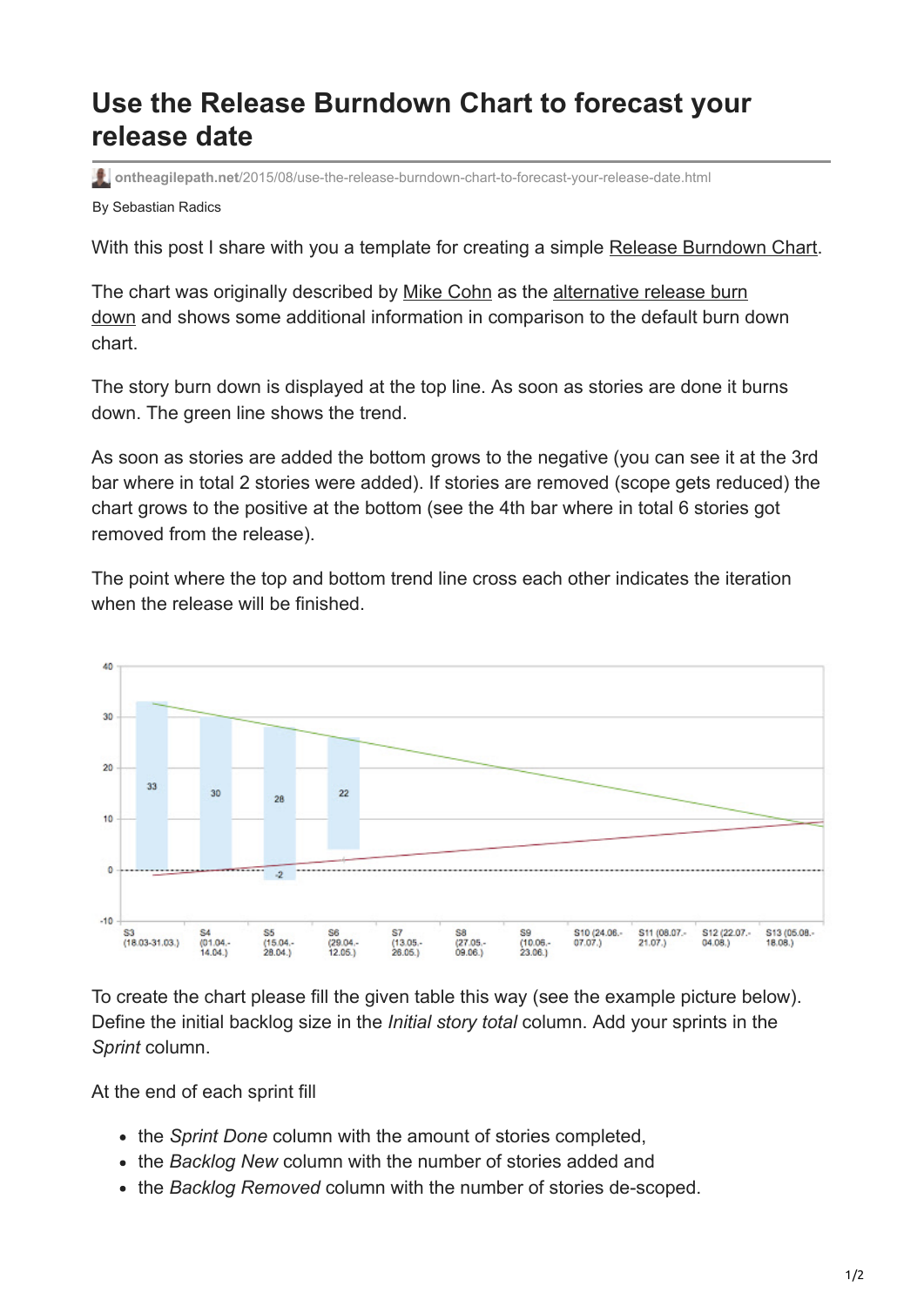## **Use the Release Burndown Chart to forecast your release date**

**ontheagilepath.net**[/2015/08/use-the-release-burndown-chart-to-forecast-your-release-date.html](https://www.ontheagilepath.net/2015/08/use-the-release-burndown-chart-to-forecast-your-release-date.html)

By Sebastian Radics

With this post I share with you a template for creating a simple [Release Burndown Chart.](https://drive.google.com/folderview?id=0BxXzXLlXBT4TfkdybC04dEpQY1g4M211c01hYTExZThWNk91ckhrZFZGZVZiVlk4TnRfNnM&usp=sharing)

[The chart was originally described by Mike Cohn as the alternative release burn](https://www.mountaingoatsoftware.com/agile/scrum/release-burndown/alternative) down and shows some additional information in comparison to the default burn down chart.

The story burn down is displayed at the top line. As soon as stories are done it burns down. The green line shows the trend.

As soon as stories are added the bottom grows to the negative (you can see it at the 3rd bar where in total 2 stories were added). If stories are removed (scope gets reduced) the chart grows to the positive at the bottom (see the 4th bar where in total 6 stories got removed from the release).

The point where the top and bottom trend line cross each other indicates the iteration when the release will be finished.



To create the chart please fill the given table this way (see the example picture below). Define the initial backlog size in the *Initial story total* column. Add your sprints in the *Sprint* column.

At the end of each sprint fill

- the *Sprint Done* column with the amount of stories completed,
- the *Backlog New* column with the number of stories added and
- the *Backlog Removed* column with the number of stories de-scoped.